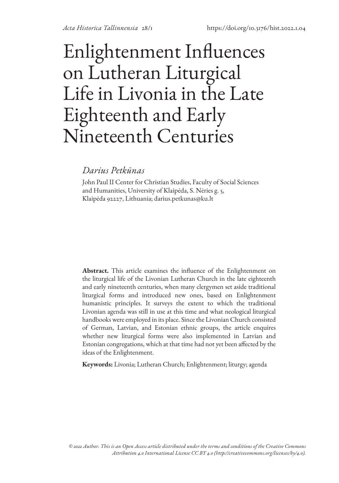# Enlightenment Influences on Lutheran Liturgical Life in Livonia in the Late Eighteenth and Early Nineteenth Centuries

## *Darius Petkūnas*

John Paul II Center for Christian Studies, Faculty of Social Sciences and Humanities, University of Klaipėda, S. Nėries g. 5, Klaipėda 92227, Lithuania; darius.petkunas@ku.lt

**Abstract.** This article examines the influence of the Enlightenment on the liturgical life of the Livonian Lutheran Church in the late eighteenth and early nineteenth centuries, when many clergymen set aside traditional liturgical forms and introduced new ones, based on Enlightenment humanistic principles. It surveys the extent to which the traditional Livonian agenda was still in use at this time and what neological liturgical handbooks were employed in its place. Since the Livonian Church consisted of German, Latvian, and Estonian ethnic groups, the article enquires whether new liturgical forms were also implemented in Latvian and Estonian congregations, which at that time had not yet been affected by the ideas of the Enlightenment.

**Keywords:** Livonia; Lutheran Church; Enlightenment; liturgy; agenda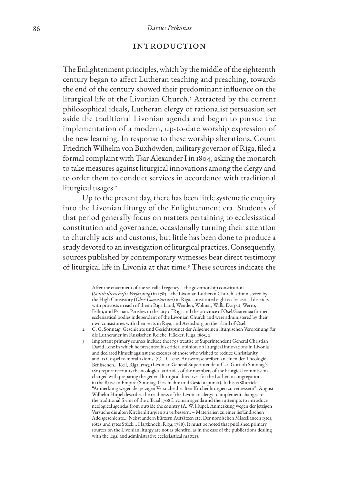#### **INTRODUCTION**

The Enlightenment principles, which by the middle of the eighteenth century began to affect Lutheran teaching and preaching, towards the end of the century showed their predominant influence on the liturgical life of the Livonian Church.<sup>1</sup> Attracted by the current philosophical ideals, Lutheran clergy of rationalist persuasion set aside the traditional Livonian agenda and began to pursue the implementation of a modern, up-to-date worship expression of the new learning. In response to these worship alterations, Count Friedrich Wilhelm von Buxhöwden, military governor of Riga, filed a formal complaint with Tsar Alexander I in 1804, asking the monarch to take measures against liturgical innovations among the clergy and to order them to conduct services in accordance with traditional liturgical usages.<sup>2</sup>

Up to the present day, there has been little systematic enquiry into the Livonian liturgy of the Enlightenment era. Students of that period generally focus on matters pertaining to ecclesiastical constitution and governance, occasionally turning their attention to churchly acts and customs, but little has been done to produce a study devoted to an investigation of liturgical practices. Consequently, sources published by contemporary witnesses bear direct testimony of liturgical life in Livonia at that time.<sup>3</sup> These sources indicate the

- 1 After the enactment of the so-called regency the governorship constitution (*Statthalterschafts-Verfassung*) in 1783 – the Livonian Lutheran Church, administered by the High Consistory (*Ober-Consistorium*) in Riga, constituted eight ecclesiastical districts with provosts in each of them: Riga Land, Wenden, Wolmar, Walk, Dorpat, Werro, Fellin, and Pernau. Parishes in the city of Riga and the province of Ösel/Saaremaa formed ecclesiastical bodies independent of the Livonian Church and were administered by their own consistories with their seats in Riga, and Arensburg on the island of Ösel.
- 2 C. G. Sonntag. Geschichte und Gesichtspunct der Allgemeinen liturgischen Verordnung für die Lutheraner im Russischen Reiche. Häcker, Riga, 1805, 2.
- 3 Important primary sources include the 1793 treatise of Superintendent General Christian David Lenz in which he presented his critical opinion on liturgical innovations in Livonia and declared himself against the excesses of those who wished to reduce Christianity and its Gospel to moral axioms. (C. D. Lenz. Antwortsschreiben an einen der Theologie Beflissenen... Keil, Riga, 1793.)Livonian General Superintendent Carl Gottlob Sonntag's 1805 report recounts the neological attitudes of the members of the liturgical commission charged with preparing the general liturgical directives for the Lutheran congregations in the Russian Empire (Sonntag. Geschichte und Gesichtspunct). In his 1788 article, "Anmerkung wegen der jetzigen Versuche die alten Kirchenliturgien zu verbessern", August Wilhelm Hupel describes the readiness of the Livonian clergy to implement changes to the traditional forms of the official 1708 Livonian agenda and their attempts to introduce neological agendas from outside the country (A. W. Hupel. Anmerkung wegen der jetzigen Versuche die alten Kirchenliturgien zu verbessern. – Materialien zu einer liefländischen Adelsgeschichte... Nebst andern kürzern Aufsätzen etc: Der nordischen Miscellaneen 15tes, 16tes und 17tes Stück… Hartknoch, Riga, 1788). It must be noted that published primary sources on the Livonian liturgy are not as plentiful as in the case of the publications dealing with the legal and administrative ecclesiastical matters.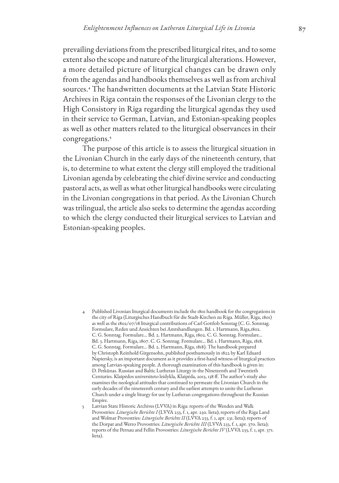prevailing deviations from the prescribed liturgical rites, and to some extent also the scope and nature of the liturgical alterations. However, a more detailed picture of liturgical changes can be drawn only from the agendas and handbooks themselves as well as from archival sources.4 The handwritten documents at the Latvian State Historic Archives in Riga contain the responses of the Livonian clergy to the High Consistory in Riga regarding the liturgical agendas they used in their service to German, Latvian, and Estonian-speaking peoples as well as other matters related to the liturgical observances in their congregations.<sup>5</sup>

The purpose of this article is to assess the liturgical situation in the Livonian Church in the early days of the nineteenth century, that is, to determine to what extent the clergy still employed the traditional Livonian agenda by celebrating the chief divine service and conducting pastoral acts, as well as what other liturgical handbooks were circulating in the Livonian congregations in that period. As the Livonian Church was trilingual, the article also seeks to determine the agendas according to which the clergy conducted their liturgical services to Latvian and Estonian-speaking peoples.

4 Published Livonian liturgical documents include the 1801 handbook for the congregations in the city of Riga (Liturgisches Handbuch für die Stadt-Kirchen zu Riga. Müller, Riga, 1801) as well as the 1802/07/18 liturgical contributions of Carl Gottlob Sonntag (C. G. Sonntag. Formulare, Reden und Ansichten bei Amtshandlungen. Bd. 1. Hartmann, Riga,1802. C. G. Sonntag. Formulare… Bd. 2. Hartmann, Riga, 1802. C. G. Sonntag. Formulare… Bd. 3. Hartmann, Riga, 1807. C. G. Sonntag. Formulare… Bd. 1. Hartmann, Riga, 1818. C. G. Sonntag. Formulare… Bd. 2. Hartmann, Riga, 1818). The handbook prepared by Christoph Reinhold Girgensohn, published posthumously in 1822 by Karl Eduard Napiersky, is an important document as it provides a first-hand witness of liturgical practices among Latvian-speaking people. A thorough examination of this handbook is given in: D. Petkūnas. Russian and Baltic Lutheran Liturgy in the Nineteenth and Twentieth Centuries. Klaipėdos universiteto leidykla, Klaipėda, 2013, 138 ff. The author's study also examines the neological attitudes that continued to permeate the Livonian Church in the early decades of the nineteenth century and the earliest attempts to unite the Lutheran Church under a single liturgy for use by Lutheran congregations throughout the Russian Empire.

<sup>5</sup> Latvian State Historic Archives (LVVA) in Riga: reports of the Wenden and Walk Provostries: *Liturgische Berichte I* (LVVA 233, f. 1, apr. 230. lieta); reports of the Riga Land and Wolmar Provostries: *Liturgische Berichte II* (LVVA 233, f. 1, apr. 231. lieta); reports of the Dorpat and Werro Provostries: *Liturgische Berichte III* (LVVA 233, f. 1, apr. 370. lieta); reports of the Pernau and Fellin Provostries: *Liturgische Berichte IV* (LVVA 233, f. 1, apr. 371. lieta).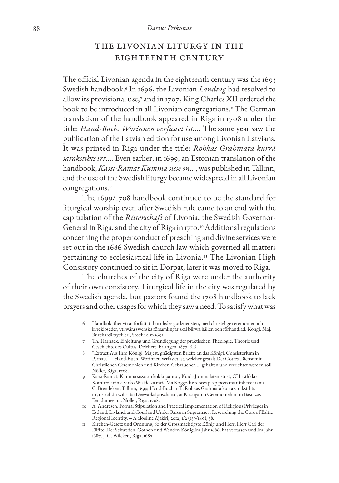#### 88 *Darius Petkūnas*

## The Livonian Liturgy in the Eighteenth Century

The official Livonian agenda in the eighteenth century was the 1693 Swedish handbook.6 In 1696, the Livonian *Landtag* had resolved to allow its provisional use,7 and in 1707, King Charles XII ordered the book to be introduced in all Livonian congregations.8 The German translation of the handbook appeared in Riga in 1708 under the title: *Hand-Buch, Worinnen verfasset ist….* The same year saw the publication of the Latvian edition for use among Livonian Latvians. It was printed in Riga under the title: *Rohkas Grahmata kurrā sarakstihts irr….* Even earlier, in 1699, an Estonian translation of the handbook, *Kässi-Ramat Kumma sisse on…*, was published in Tallinn, and the use of the Swedish liturgy became widespread in all Livonian congregations.<sup>9</sup>

The 1699/1708 handbook continued to be the standard for liturgical worship even after Swedish rule came to an end with the capitulation of the *Ritterschaft* of Livonia, the Swedish Governor-General in Riga, and the city of Riga in 1710.10 Additional regulations concerning the proper conduct of preaching and divine services were set out in the 1686 Swedish church law which governed all matters pertaining to ecclesiastical life in Livonia.11 The Livonian High Consistory continued to sit in Dorpat; later it was moved to Riga.

The churches of the city of Riga were under the authority of their own consistory. Liturgical life in the city was regulated by the Swedish agenda, but pastors found the 1708 handbook to lack prayers and other usages for which they saw a need. To satisfy what was

- 6 Handbok, ther vti är författat, huruledes gudztiensten, med christelige ceremonier och kyrckioseder, vti wåra swenska församlingar skal blifwa hållen och förhandlad. Kongl. Maj. Burchardi tryckieri, Stockholm 1693.
- 7 Th. Harnack. Einleitung und Grundlegung der praktischen Theologie: Theorie und Geschichte des Cultus. Deichert, Erlangen, 1877, 616.
- 8 "Extract Aus Ihro Königl. Majest. gnädigsten Brieffe an das Königl. Consistorium in Pernau." – Hand-Buch, Worinnen verfasset ist, welcher gestalt Der Gottes-Dienst mit Christlichen Ceremonien und Kirchen-Gebräuchen ... gehalten und verrichtet werden soll. Nöller, Riga, 1708.
- 9 Kässi-Ramat, Kumma sisse on kokkopantut, Kuida Jummalatenistust, CHristlikko Kombede nink Kirko-Wiside ka meie Ma Koggoduste sees peap peetama nink techtama … C. Brendeken, Tallinn, 1699; Hand-Buch, 1 ff.; Rohkas Grahmata kurrā sarakstihts irr, us kahdu wihsi tai Deewa-kalposchanai, ar Kristigahm Ceremoniehm un Basnizas Eeradumeem… Nöller, Riga, 1708.
- 10 A. Andresen. Formal Stipulation and Practical Implementation of Religious Privileges in Estland, Livland, and Courland Under Russian Supremacy: Researching the Core of Baltic Regional Identity. – Ajalooline Ajakiri, 2012, 1/2 (139/140), 38.
- 11 Kirchen-Gesetz und Ordnung, So der Grossmächtigste König und Herr, Herr Carl der Eilffte, Der Schweden, Gothen und Wenden König Im Jahr 1686. hat verfassen und Im Jahr 1687. J. G. Wilcken, Riga, 1687.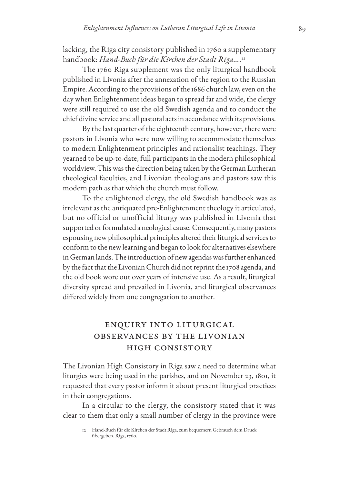lacking, the Riga city consistory published in 1760 a supplementary handbook: *Hand-Buch für die Kirchen der Stadt Riga…*.<sup>12</sup>

The 1760 Riga supplement was the only liturgical handbook published in Livonia after the annexation of the region to the Russian Empire. According to the provisions of the 1686 church law, even on the day when Enlightenment ideas began to spread far and wide, the clergy were still required to use the old Swedish agenda and to conduct the chief divine service and all pastoral acts in accordance with its provisions.

By the last quarter of the eighteenth century, however, there were pastors in Livonia who were now willing to accommodate themselves to modern Enlightenment principles and rationalist teachings. They yearned to be up-to-date, full participants in the modern philosophical worldview. This was the direction being taken by the German Lutheran theological faculties, and Livonian theologians and pastors saw this modern path as that which the church must follow.

To the enlightened clergy, the old Swedish handbook was as irrelevant as the antiquated pre-Enlightenment theology it articulated, but no official or unofficial liturgy was published in Livonia that supported or formulated a neological cause. Consequently, many pastors espousing new philosophical principles altered their liturgical services to conform to the new learning and began to look for alternatives elsewhere in German lands. The introduction of new agendas was further enhanced by the fact that the Livonian Church did not reprint the 1708 agenda, and the old book wore out over years of intensive use. As a result, liturgical diversity spread and prevailed in Livonia, and liturgical observances differed widely from one congregation to another.

## Enquiry into Liturgical Observances by the Livonian High Consistory

The Livonian High Consistory in Riga saw a need to determine what liturgies were being used in the parishes, and on November 23, 1801, it requested that every pastor inform it about present liturgical practices in their congregations.

In a circular to the clergy, the consistory stated that it was clear to them that only a small number of clergy in the province were

<sup>12</sup> Hand-Buch für die Kirchen der Stadt Riga, zum bequemern Gebrauch dem Druck übergeben. Riga, 1760.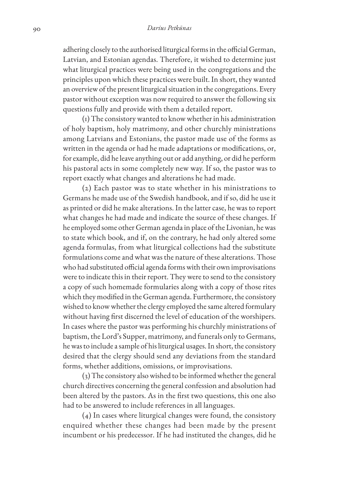adhering closely to the authorised liturgical forms in the official German, Latvian, and Estonian agendas. Therefore, it wished to determine just what liturgical practices were being used in the congregations and the principles upon which these practices were built. In short, they wanted an overview of the present liturgical situation in the congregations. Every pastor without exception was now required to answer the following six questions fully and provide with them a detailed report.

(1) The consistory wanted to know whether in his administration of holy baptism, holy matrimony, and other churchly ministrations among Latvians and Estonians, the pastor made use of the forms as written in the agenda or had he made adaptations or modifications, or, for example, did he leave anything out or add anything, or did he perform his pastoral acts in some completely new way. If so, the pastor was to report exactly what changes and alterations he had made.

(2) Each pastor was to state whether in his ministrations to Germans he made use of the Swedish handbook, and if so, did he use it as printed or did he make alterations. In the latter case, he was to report what changes he had made and indicate the source of these changes. If he employed some other German agenda in place of the Livonian, he was to state which book, and if, on the contrary, he had only altered some agenda formulas, from what liturgical collections had the substitute formulations come and what was the nature of these alterations. Those who had substituted official agenda forms with their own improvisations were to indicate this in their report. They were to send to the consistory a copy of such homemade formularies along with a copy of those rites which they modified in the German agenda. Furthermore, the consistory wished to know whether the clergy employed the same altered formulary without having first discerned the level of education of the worshipers. In cases where the pastor was performing his churchly ministrations of baptism, the Lord's Supper, matrimony, and funerals only to Germans, he was to include a sample of his liturgical usages. In short, the consistory desired that the clergy should send any deviations from the standard forms, whether additions, omissions, or improvisations.

(3) The consistory also wished to be informed whether the general church directives concerning the general confession and absolution had been altered by the pastors. As in the first two questions, this one also had to be answered to include references in all languages.

(4) In cases where liturgical changes were found, the consistory enquired whether these changes had been made by the present incumbent or his predecessor. If he had instituted the changes, did he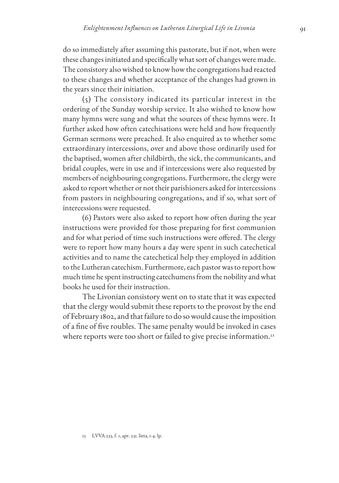do so immediately after assuming this pastorate, but if not, when were these changes initiated and specifically what sort of changes were made. The consistory also wished to know how the congregations had reacted to these changes and whether acceptance of the changes had grown in the years since their initiation.

(5) The consistory indicated its particular interest in the ordering of the Sunday worship service. It also wished to know how many hymns were sung and what the sources of these hymns were. It further asked how often catechisations were held and how frequently German sermons were preached. It also enquired as to whether some extraordinary intercessions, over and above those ordinarily used for the baptised, women after childbirth, the sick, the communicants, and bridal couples, were in use and if intercessions were also requested by members of neighbouring congregations. Furthermore, the clergy were asked to report whether or not their parishioners asked for intercessions from pastors in neighbouring congregations, and if so, what sort of intercessions were requested.

(6) Pastors were also asked to report how often during the year instructions were provided for those preparing for first communion and for what period of time such instructions were offered. The clergy were to report how many hours a day were spent in such catechetical activities and to name the catechetical help they employed in addition to the Lutheran catechism. Furthermore, each pastor was to report how much time he spent instructing catechumens from the nobility and what books he used for their instruction.

The Livonian consistory went on to state that it was expected that the clergy would submit these reports to the provost by the end of February 1802, and that failure to do so would cause the imposition of a fine of five roubles. The same penalty would be invoked in cases where reports were too short or failed to give precise information.<sup>13</sup>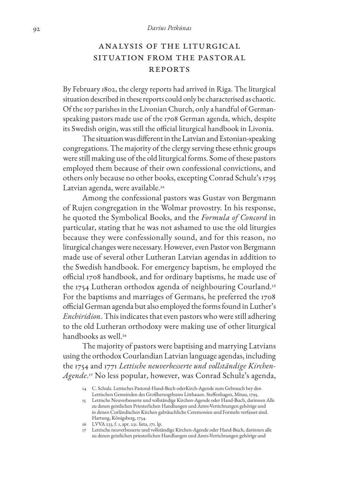#### 92 *Darius Petkūnas*

## Analysis of the Liturgical Situation from the Pastoral **REPORTS**

By February 1802, the clergy reports had arrived in Riga. The liturgical situation described in these reports could only be characterised as chaotic. Of the 107 parishes in the Livonian Church, only a handful of Germanspeaking pastors made use of the 1708 German agenda, which, despite its Swedish origin, was still the official liturgical handbook in Livonia.

The situation was different in the Latvian and Estonian-speaking congregations. The majority of the clergy serving these ethnic groups were still making use of the old liturgical forms. Some of these pastors employed them because of their own confessional convictions, and others only because no other books, excepting Conrad Schulz's 1795 Latvian agenda, were available.<sup>14</sup>

Among the confessional pastors was Gustav von Bergmann of Rujen congregation in the Wolmar provostry. In his response, he quoted the Symbolical Books, and the *Formula of Concord* in particular, stating that he was not ashamed to use the old liturgies because they were confessionally sound, and for this reason, no liturgical changes were necessary. However, even Pastor von Bergmann made use of several other Lutheran Latvian agendas in addition to the Swedish handbook. For emergency baptism, he employed the official 1708 handbook, and for ordinary baptisms, he made use of the 1754 Lutheran orthodox agenda of neighbouring Courland.<sup>15</sup> For the baptisms and marriages of Germans, he preferred the 1708 official German agenda but also employed the forms found in Luther's *Enchiridion*. This indicates that even pastors who were still adhering to the old Lutheran orthodoxy were making use of other liturgical handbooks as well.<sup>16</sup>

The majority of pastors were baptising and marrying Latvians using the orthodox Courlandian Latvian language agendas, including the 1754 and 1771 *Lettische neuverbesserte und vollständige Kirchen-Agende*.17 No less popular, however, was Conrad Schulz's agenda,

<sup>14</sup> C. Schulz. Lettisches Pastoral-Hand-Buch oderKirch-Agende zum Gebrauch bey den Lettischen Gemeinden des Großherzogthums Litthauen. Steffenhagen, Mitau, 1795.

<sup>15</sup> Lettische Neuverbesserte und vollständige Kirchen-Agende oder Hand-Buch, darinnen Alle zu denen geistlichen Priesterlichen Handlungen und Amts-Verrichtungen gehörige und in denen Curländischen Kirchen gabräuchliche Ceremonien und Formeln verfasset sind. Hartung, Königsberg, 1754.

<sup>16</sup> LVVA 233, f. 1, apr. 231. lieta, 171. lp.

<sup>17</sup> Lettische neuverbesserte und vollständige Kirchen-Agende oder Hand-Buch, darinnen alle zu denen geistlichen priesterlichen Handlungen und Amts-Verrichtungen gehörige und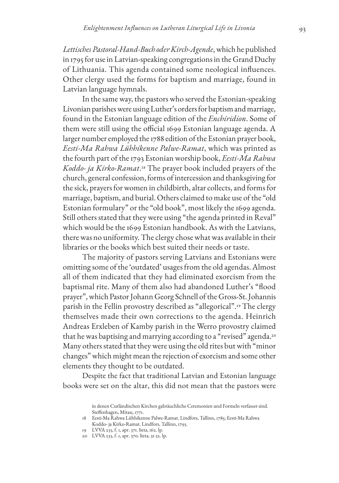*Lettisches Pastoral-Hand-Buch oder Kirch-Agende*, which he published in 1795 for use in Latvian-speaking congregations in the Grand Duchy of Lithuania. This agenda contained some neological influences. Other clergy used the forms for baptism and marriage, found in Latvian language hymnals.

In the same way, the pastors who served the Estonian-speaking Livonian parishes were using Luther's orders for baptism and marriage, found in the Estonian language edition of the *Enchiridion*. Some of them were still using the official 1699 Estonian language agenda. A larger number employed the 1788 edition of the Estonian prayer book, *Eesti-Ma Rahwa Lühhikenne Palwe-Ramat*, which was printed as the fourth part of the 1793 Estonian worship book, *Eesti-Ma Rahwa Koddo- ja Kirko-Ramat*.18 The prayer book included prayers of the church, general confession, forms of intercession and thanksgiving for the sick, prayers for women in childbirth, altar collects, and forms for marriage, baptism, and burial. Others claimed to make use of the "old Estonian formulary" or the "old book", most likely the 1699 agenda. Still others stated that they were using "the agenda printed in Reval" which would be the 1699 Estonian handbook. As with the Latvians, there was no uniformity. The clergy chose what was available in their libraries or the books which best suited their needs or taste.

The majority of pastors serving Latvians and Estonians were omitting some of the 'outdated' usages from the old agendas. Almost all of them indicated that they had eliminated exorcism from the baptismal rite. Many of them also had abandoned Luther's "flood prayer", which Pastor Johann Georg Schnell of the Gross-St. Johannis parish in the Fellin provostry described as "allegorical".19 The clergy themselves made their own corrections to the agenda. Heinrich Andreas Erxleben of Kamby parish in the Werro provostry claimed that he was baptising and marrying according to a "revised" agenda.<sup>20</sup> Many others stated that they were using the old rites but with "minor changes" which might mean the rejection of exorcism and some other elements they thought to be outdated.

Despite the fact that traditional Latvian and Estonian language books were set on the altar, this did not mean that the pastors were

in denen Curländischen Kirchen gabräuchliche Ceremonien und Formeln verfasset sind. Steffenhagen, Mitau, 1771.

<sup>18</sup> Eesti-Ma Rahwa Lühhikenne Palwe-Ramat. Lindfors, Tallinn, 1785; Eesti-Ma Rahwa Koddo- ja Kirko-Ramat. Lindfors, Tallinn, 1793.

<sup>19</sup> LVVA 233, f. 1, apr. 371. lieta, 162. lp.

<sup>20</sup> LVVA 233, f. 1, apr. 370. lieta, 31-32. lp.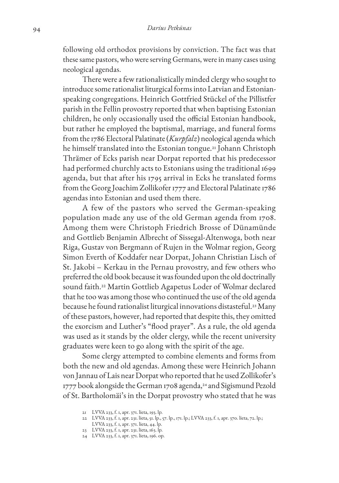following old orthodox provisions by conviction. The fact was that these same pastors, who were serving Germans, were in many cases using neological agendas.

There were a few rationalistically minded clergy who sought to introduce some rationalist liturgical forms into Latvian and Estonianspeaking congregations. Heinrich Gottfried Stückel of the Pillistfer parish in the Fellin provostry reported that when baptising Estonian children, he only occasionally used the official Estonian handbook, but rather he employed the baptismal, marriage, and funeral forms from the 1786 Electoral Palatinate (*Kurpfalz*) neological agenda which he himself translated into the Estonian tongue.21 Johann Christoph Thrämer of Ecks parish near Dorpat reported that his predecessor had performed churchly acts to Estonians using the traditional 1699 agenda, but that after his 1795 arrival in Ecks he translated forms from the Georg Joachim Zollikofer 1777 and Electoral Palatinate 1786 agendas into Estonian and used them there.

A few of the pastors who served the German-speaking population made any use of the old German agenda from 1708. Among them were Christoph Friedrich Brosse of Dünamünde and Gottlieb Benjamin Albrecht of Sissegal-Altenwoga, both near Riga, Gustav von Bergmann of Rujen in the Wolmar region, Georg Simon Everth of Koddafer near Dorpat, Johann Christian Lisch of St. Jakobi – Kerkau in the Pernau provostry, and few others who preferred the old book because it was founded upon the old doctrinally sound faith.22 Martin Gottlieb Agapetus Loder of Wolmar declared that he too was among those who continued the use of the old agenda because he found rationalist liturgical innovations distasteful.<sup>23</sup> Many of these pastors, however, had reported that despite this, they omitted the exorcism and Luther's "flood prayer". As a rule, the old agenda was used as it stands by the older clergy, while the recent university graduates were keen to go along with the spirit of the age.

Some clergy attempted to combine elements and forms from both the new and old agendas. Among these were Heinrich Johann von Jannau of Lais near Dorpat who reported that he used Zollikofer's 1777 book alongside the German 1708 agenda,<sup>24</sup> and Sigismund Pezold of St. Bartholomäi's in the Dorpat provostry who stated that he was

- 22 LVVA 233, f. 1, apr. 231. lieta, 51. lp., 57. lp., 171. lp.; LVVA 233, f. 1, apr. 370. lieta, 72. lp.; LVVA 233, f. 1, apr. 371. lieta, 44. lp.
- 23 LVVA 233, f. 1, apr. 231. lieta, 163. lp.
- 24 LVVA 233, f. 1, apr. 371. lieta, 196. op.

<sup>21</sup> LVVA 233, f. 1, apr. 371. lieta, 193. lp.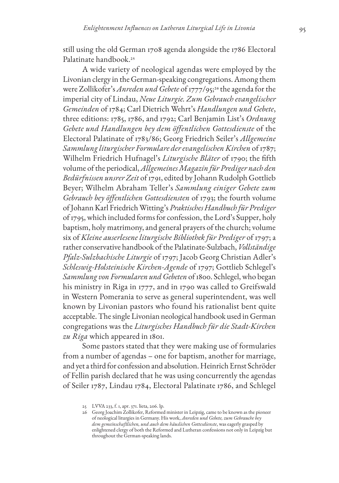still using the old German 1708 agenda alongside the 1786 Electoral Palatinate handbook.<sup>25</sup>

A wide variety of neological agendas were employed by the Livonian clergy in the German-speaking congregations. Among them were Zollikofer's *Anreden und Gebete* of 1777/95;26 the agenda for the imperial city of Lindau, *Neue Liturgie. Zum Gebrauch evangelischer Gemeinden* of 1784; Carl Dietrich Wehrt's *Handlungen und Gebete*, three editions: 1785, 1786, and 1792; Carl Benjamin List's *Ordnung Gebete und Handlungen bey dem öffentlichen Gottesdienste* of the Electoral Palatinate of 1783/86; Georg Friedrich Seiler's *Allgemeine Sammlung liturgischer Formulare der evangelischen Kirchen* of 1787; Wilhelm Friedrich Hufnagel's *Liturgische Bläter* of 1790; the fifth volume of the periodical, *Allgemeines Magazin für Prediger nach den Bedürfnissen unsrer Zeit* of 1791, edited by Johann Rudolph Gottlieb Beyer; Wilhelm Abraham Teller's *Sammlung einiger Gebete zum Gebrauch bey öffentlichen Gottesdiensten* of 1793; the fourth volume of Johann Karl Friedrich Witting's *Praktisches Handbuch für Prediger* of 1795, which included forms for confession, the Lord's Supper, holy baptism, holy matrimony, and general prayers of the church; volume six of *Kleine auserlesene liturgische Bibliothek für Prediger* of 1797; a rather conservative handbook of the Palatinate-Sulzbach, *Vollständige Pfalz-Sulzbachische Liturgie* of 1797; Jacob Georg Christian Adler's *Schleswig-Holsteinische Kirchen-Agende* of 1797; Gottlieb Schlegel's *Sammlung von Formularen und Gebeten* of 1800. Schlegel, who began his ministry in Riga in 1777, and in 1790 was called to Greifswald in Western Pomerania to serve as general superintendent, was well known by Livonian pastors who found his rationalist bent quite acceptable. The single Livonian neological handbook used in German congregations was the *Liturgisches Handbuch für die Stadt-Kirchen zu Riga* which appeared in 1801.

Some pastors stated that they were making use of formularies from a number of agendas – one for baptism, another for marriage, and yet a third for confession and absolution. Heinrich Ernst Schröder of Fellin parish declared that he was using concurrently the agendas of Seiler 1787, Lindau 1784, Electoral Palatinate 1786, and Schlegel

<sup>25</sup> LVVA 233, f. 1, apr. 371. lieta, 206. lp.

<sup>26</sup> Georg Joachim Zollikofer, Reformed minister in Leipzig, came to be known as the pioneer of neological liturgies in Germany. His work, *Anreden und Gebete, zum Gebrauche bey dem gemeinschaftlichen, und auch dem häuslichen Gottesdienste*, was eagerly grasped by enlightened clergy of both the Reformed and Lutheran confessions not only in Leipzig but throughout the German-speaking lands.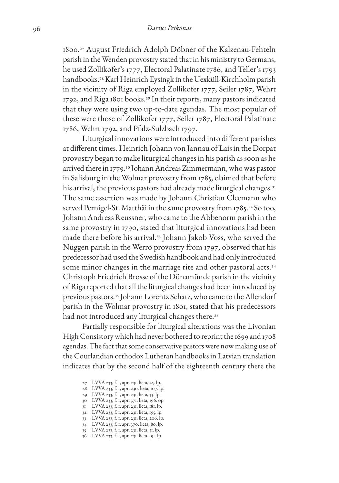1800.27 August Friedrich Adolph Döbner of the Kalzenau-Fehteln parish in the Wenden provostry stated that in his ministry to Germans, he used Zollikofer's 1777, Electoral Palatinate 1786, and Teller's 1793 handbooks.28 Karl Heinrich Eysingk in the Uexküll-Kirchholm parish in the vicinity of Riga employed Zollikofer 1777, Seiler 1787, Wehrt 1792, and Riga 1801 books.29 In their reports, many pastors indicated that they were using two up-to-date agendas. The most popular of these were those of Zollikofer 1777, Seiler 1787, Electoral Palatinate 1786, Wehrt 1792, and Pfalz-Sulzbach 1797.

Liturgical innovations were introduced into different parishes at different times. Heinrich Johann von Jannau of Lais in the Dorpat provostry began to make liturgical changes in his parish as soon as he arrived there in 1779.30 Johann Andreas Zimmermann, who was pastor in Salisburg in the Wolmar provostry from 1785, claimed that before his arrival, the previous pastors had already made liturgical changes.<sup>31</sup> The same assertion was made by Johann Christian Cleemann who served Pernigel-St. Matthäi in the same provostry from 1785.<sup>32</sup> So too, Johann Andreas Reussner, who came to the Abbenorm parish in the same provostry in 1790, stated that liturgical innovations had been made there before his arrival.33 Johann Jakob Voss, who served the Nüggen parish in the Werro provostry from 1797, observed that his predecessor had used the Swedish handbook and had only introduced some minor changes in the marriage rite and other pastoral acts.<sup>34</sup> Christoph Friedrich Brosse of the Dünamünde parish in the vicinity of Riga reported that all the liturgical changes had been introduced by previous pastors.35 Johann Lorentz Schatz, who came to the Allendorf parish in the Wolmar provostry in 1801, stated that his predecessors had not introduced any liturgical changes there.<sup>36</sup>

Partially responsible for liturgical alterations was the Livonian High Consistory which had never bothered to reprint the 1699 and 1708 agendas. The fact that some conservative pastors were now making use of the Courlandian orthodox Lutheran handbooks in Latvian translation indicates that by the second half of the eighteenth century there the

- 27 LVVA 233, f. 1, apr. 231. lieta, 45. lp.
- 28 LVVA 233, f. 1, apr. 230. lieta, 107. lp.
- 29 LVVA 233, f. 1, apr. 231. lieta, 33. lp.
- 30 LVVA 233, f. 1, apr. 371. lieta, 196. op.
- 31 LVVA 233, f. 1, apr. 231. lieta, 181. lp.
- 32 LVVA 233, f. 1, apr. 231. lieta, 195. lp.
- 33 LVVA 233, f. 1, apr. 231. lieta, 206. lp. 34 LVVA 233, f. 1, apr. 370. lieta, 80. lp.
- 35 LVVA 233, f. 1, apr. 231. lieta, 51. lp.
- 36 LVVA 233, f. 1, apr. 231. lieta, 191. lp.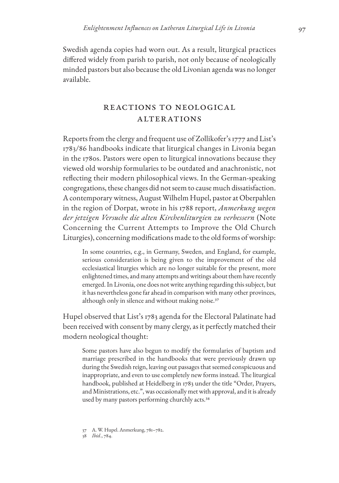Swedish agenda copies had worn out. As a result, liturgical practices differed widely from parish to parish, not only because of neologically minded pastors but also because the old Livonian agenda was no longer available.

## Reactions to Neological **ALTERATIONS**

Reports from the clergy and frequent use of Zollikofer's 1777 and List's 1783/86 handbooks indicate that liturgical changes in Livonia began in the 1780s. Pastors were open to liturgical innovations because they viewed old worship formularies to be outdated and anachronistic, not reflecting their modern philosophical views. In the German-speaking congregations, these changes did not seem to cause much dissatisfaction. A contemporary witness, August Wilhelm Hupel, pastor at Oberpahlen in the region of Dorpat, wrote in his 1788 report, *Anmerkung wegen der jetzigen Versuche die alten Kirchenliturgien zu verbessern* (Note Concerning the Current Attempts to Improve the Old Church Liturgies), concerning modifications made to the old forms of worship:

In some countries, e.g., in Germany, Sweden, and England, for example, serious consideration is being given to the improvement of the old ecclesiastical liturgies which are no longer suitable for the present, more enlightened times, and many attempts and writings about them have recently emerged. In Livonia, one does not write anything regarding this subject, but it has nevertheless gone far ahead in comparison with many other provinces, although only in silence and without making noise.<sup>37</sup>

Hupel observed that List's 1783 agenda for the Electoral Palatinate had been received with consent by many clergy, as it perfectly matched their modern neological thought:

Some pastors have also begun to modify the formularies of baptism and marriage prescribed in the handbooks that were previously drawn up during the Swedish reign, leaving out passages that seemed conspicuous and inappropriate, and even to use completely new forms instead. The liturgical handbook, published at Heidelberg in 1783 under the title "Order, Prayers, and Ministrations, etc.", was occasionally met with approval, and it is already used by many pastors performing churchly acts.<sup>38</sup>

<sup>37</sup> A. W. Hupel. Anmerkung, 781–782.

<sup>38</sup> *Ibid*., 784.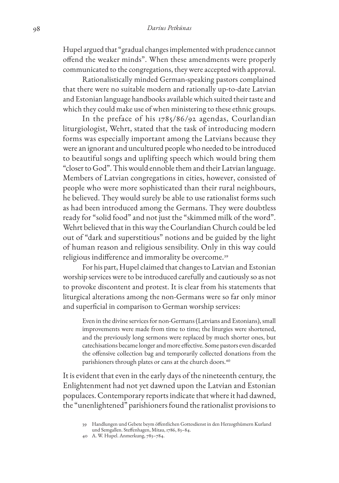#### 98 *Darius Petkūnas*

Hupel argued that "gradual changes implemented with prudence cannot offend the weaker minds". When these amendments were properly communicated to the congregations, they were accepted with approval.

Rationalistically minded German-speaking pastors complained that there were no suitable modern and rationally up-to-date Latvian and Estonian language handbooks available which suited their taste and which they could make use of when ministering to these ethnic groups.

In the preface of his 1785/86/92 agendas, Courlandian liturgiologist, Wehrt, stated that the task of introducing modern forms was especially important among the Latvians because they were an ignorant and uncultured people who needed to be introduced to beautiful songs and uplifting speech which would bring them "closer to God". This would ennoble them and their Latvian language. Members of Latvian congregations in cities, however, consisted of people who were more sophisticated than their rural neighbours, he believed. They would surely be able to use rationalist forms such as had been introduced among the Germans. They were doubtless ready for "solid food" and not just the "skimmed milk of the word". Wehrt believed that in this way the Courlandian Church could be led out of "dark and superstitious" notions and be guided by the light of human reason and religious sensibility. Only in this way could religious indifference and immorality be overcome.<sup>39</sup>

For his part, Hupel claimed that changes to Latvian and Estonian worship services were to be introduced carefully and cautiously so as not to provoke discontent and protest. It is clear from his statements that liturgical alterations among the non-Germans were so far only minor and superficial in comparison to German worship services:

Even in the divine services for non-Germans (Latvians and Estonians), small improvements were made from time to time; the liturgies were shortened, and the previously long sermons were replaced by much shorter ones, but catechisations became longer and more effective. Some pastors even discarded the offensive collection bag and temporarily collected donations from the parishioners through plates or cans at the church doors.<sup>40</sup>

It is evident that even in the early days of the nineteenth century, the Enlightenment had not yet dawned upon the Latvian and Estonian populaces. Contemporary reports indicate that where it had dawned, the "unenlightened" parishioners found the rationalist provisions to

<sup>39</sup> Handlungen und Gebete beym öffentlichen Gottesdienst in den Herzogthümern Kurland und Semgallen. Steffenhagen, Mitau, 1786, 83–84.

<sup>40</sup> A. W. Hupel. Anmerkung, 783–784.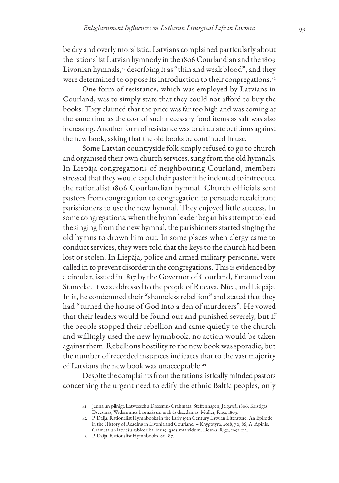be dry and overly moralistic. Latvians complained particularly about the rationalist Latvian hymnody in the 1806 Courlandian and the 1809 Livonian hymnals,<sup>41</sup> describing it as "thin and weak blood", and they were determined to oppose its introduction to their congregations.<sup>42</sup>

One form of resistance, which was employed by Latvians in Courland, was to simply state that they could not afford to buy the books. They claimed that the price was far too high and was coming at the same time as the cost of such necessary food items as salt was also increasing. Another form of resistance was to circulate petitions against the new book, asking that the old books be continued in use.

Some Latvian countryside folk simply refused to go to church and organised their own church services, sung from the old hymnals. In Liepāja congregations of neighbouring Courland, members stressed that they would expel their pastor if he indented to introduce the rationalist 1806 Courlandian hymnal. Church officials sent pastors from congregation to congregation to persuade recalcitrant parishioners to use the new hymnal. They enjoyed little success. In some congregations, when the hymn leader began his attempt to lead the singing from the new hymnal, the parishioners started singing the old hymns to drown him out. In some places when clergy came to conduct services, they were told that the keys to the church had been lost or stolen. In Liepāja, police and armed military personnel were called in to prevent disorder in the congregations. This is evidenced by a circular, issued in 1817 by the Governor of Courland, Emanuel von Stanecke. It was addressed to the people of Rucava, Nīca, and Liepāja. In it, he condemned their "shameless rebellion" and stated that they had "turned the house of God into a den of murderers". He vowed that their leaders would be found out and punished severely, but if the people stopped their rebellion and came quietly to the church and willingly used the new hymnbook, no action would be taken against them. Rebellious hostility to the new book was sporadic, but the number of recorded instances indicates that to the vast majority of Latvians the new book was unacceptable.<sup>43</sup>

Despite the complaints from the rationalistically minded pastors concerning the urgent need to edify the ethnic Baltic peoples, only

<sup>41</sup> Jauna un pilniga Latweeschu Dseesmu- Grahmata. Steffenhagen, Jelgawâ, 1806; Kristigas Dseesmas, Widsemmes basnizâs un mahjâs dseedamas. Müller, Riga, 1809.

<sup>42</sup> P. Daija. Rationalist Hymnbooks in the Early 19th Century Latvian Literature: An Episode in the History of Reading in Livonia and Courland. – Knygotyra, 2018, 70, 86; A. Apinis. Grāmata un latviešu sabiedrība līdz 19. gadsimta vidum. Liesma, Rīga, 1991, 132.

<sup>43</sup> P. Daija. Rationalist Hymnbooks, 86–87.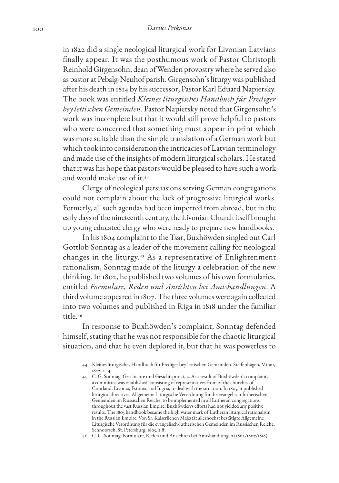in 1822 did a single neological liturgical work for Livonian Latvians finally appear. It was the posthumous work of Pastor Christoph Reinhold Girgensohn, dean of Wenden provostry where he served also as pastor at Pebalg-Neuhof parish. Girgensohn's liturgy was published after his death in 1814 by his successor, Pastor Karl Eduard Napiersky. The book was entitled *Kleines liturgisches Handbuch für Prediger bey lettischen Gemeinden*. Pastor Napiersky noted that Girgensohn's work was incomplete but that it would still prove helpful to pastors who were concerned that something must appear in print which was more suitable than the simple translation of a German work but which took into consideration the intricacies of Latvian terminology and made use of the insights of modern liturgical scholars. He stated that it was his hope that pastors would be pleased to have such a work and would make use of it.<sup>44</sup>

Clergy of neological persuasions serving German congregations could not complain about the lack of progressive liturgical works. Formerly, all such agendas had been imported from abroad, but in the early days of the nineteenth century, the Livonian Church itself brought up young educated clergy who were ready to prepare new handbooks.

In his 1804 complaint to the Tsar, Buxhöwden singled out Carl Gottlob Sonntag as a leader of the movement calling for neological changes in the liturgy.45 As a representative of Enlightenment rationalism, Sonntag made of the liturgy a celebration of the new thinking. In 1802, he published two volumes of his own formularies, entitled *Formulare, Reden und Ansichten bei Amtshandlungen*. A third volume appeared in 1807. The three volumes were again collected into two volumes and published in Riga in 1818 under the familiar title.<sup>46</sup>

In response to Buxhöwden's complaint, Sonntag defended himself, stating that he was not responsible for the chaotic liturgical situation, and that he even deplored it, but that he was powerless to

<sup>44</sup> Kleines liturgisches Handbuch für Prediger bey lettischen Gemeinden. Steffenhagen, Mitau, 1822, 2–4.

<sup>45</sup> C. G. Sonntag. Geschichte und Gesichtspunct, 2. As a result of Buxhöwden's complaint, a committee was established, consisting of representatives from of the churches of Courland, Livonia, Estonia, and Ingria, to deal with the situation. In 1805, it published liturgical directives, Allgemeine Liturgische Verordnung für die evangelisch-lutherischen Gemeinden im Russischen Reiche, to be implemented in all Lutheran congregations throughout the vast Russian Empire. Buxhöwden's efforts had not yielded any positive results. The 1805 handbook became the high water mark of Lutheran liturgical rationalism in the Russian Empire. Von Sr. Kaiserlichen Majestät allerhöchst bestätigte Allgemeine Liturgische Verordnung für die evangelisch-lutherischen Gemeinden im Russischen Reiche. Schnoorsch, St. Petersburg, 1805, 2 ff.

<sup>46</sup> C. G. Sonntag. Formulare, Reden und Ansichten bei Amtshandlungen (1802/1807/1818).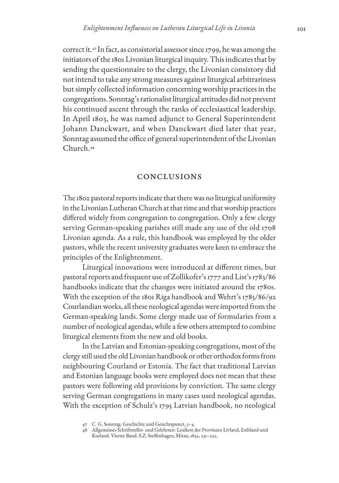correct it.47 In fact, as consistorial assessor since 1799, he was among the initiators of the 1801 Livonian liturgical inquiry. This indicates that by sending the questionnaire to the clergy, the Livonian consistory did not intend to take any strong measures against liturgical arbitrariness but simply collected information concerning worship practices in the congregations. Sonntag's rationalist liturgical attitudes did not prevent his continued ascent through the ranks of ecclesiastical leadership. In April 1803, he was named adjunct to General Superintendent Johann Danckwart, and when Danckwart died later that year, Sonntag assumed the office of general superintendent of the Livonian Church.<sup>48</sup>

#### Conclusions

The 1802 pastoral reports indicate that there was no liturgical uniformity in the Livonian Lutheran Church at that time and that worship practices differed widely from congregation to congregation. Only a few clergy serving German-speaking parishes still made any use of the old 1708 Livonian agenda. As a rule, this handbook was employed by the older pastors, while the recent university graduates were keen to embrace the principles of the Enlightenment.

Liturgical innovations were introduced at different times, but pastoral reports and frequent use of Zollikofer's 1777 and List's 1783/86 handbooks indicate that the changes were initiated around the 1780s. With the exception of the 1801 Riga handbook and Wehrt's 1785/86/92 Courlandian works, all these neological agendas were imported from the German-speaking lands. Some clergy made use of formularies from a number of neological agendas, while a few others attempted to combine liturgical elements from the new and old books.

In the Latvian and Estonian-speaking congregations, most of the clergy still used the old Livonian handbook or other orthodox forms from neighbouring Courland or Estonia. The fact that traditional Latvian and Estonian language books were employed does not mean that these pastors were following old provisions by conviction. The same clergy serving German congregations in many cases used neological agendas. With the exception of Schulz's 1795 Latvian handbook, no neological

<sup>47</sup> C. G. Sonntag. Geschichte und Gesichtspunct, 3–4.

<sup>48</sup> Allgemeines Schriftsteller- und Gelehrten- Lexikon der Provinzen Livland, Esthland und Kurland. Vierter Band. S.Z. Steffenhagen, Mitau, 1832, 231–232.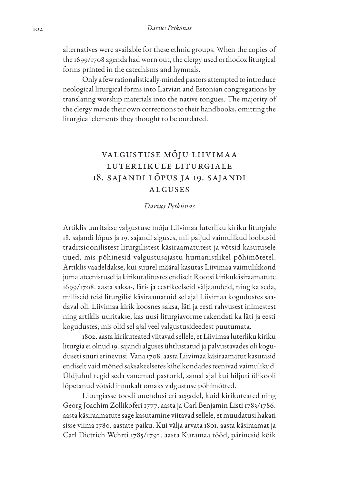alternatives were available for these ethnic groups. When the copies of the 1699/1708 agenda had worn out, the clergy used orthodox liturgical forms printed in the catechisms and hymnals.

Only a few rationalistically-minded pastors attempted to introduce neological liturgical forms into Latvian and Estonian congregations by translating worship materials into the native tongues. The majority of the clergy made their own corrections to their handbooks, omitting the liturgical elements they thought to be outdated.

# Valgustuse mõju Liivimaa luterlikule liturgiale 18. sajandi lõpus ja 19. sajandi alguses

### *Darius Petkūnas*

Artiklis uuritakse valgustuse mõju Liivimaa luterliku kiriku liturgiale 18. sajandi lõpus ja 19. sajandi alguses, mil paljud vaimulikud loobusid traditsioonilistest liturgilistest käsiraamatutest ja võtsid kasutusele uued, mis põhinesid valgustusajastu humanistlikel põhimõtetel. Artiklis vaadeldakse, kui suurel määral kasutas Liivimaa vaimulikkond jumalateenistusel ja kirikutalitustes endiselt Rootsi kirikukäsiraamatute 1699/1708. aasta saksa-, läti- ja eestikeelseid väljaandeid, ning ka seda, milliseid teisi liturgilisi käsiraamatuid sel ajal Liivimaa kogudustes saadaval oli. Liivimaa kirik koosnes saksa, läti ja eesti rahvusest inimestest ning artiklis uuritakse, kas uusi liturgiavorme rakendati ka läti ja eesti kogudustes, mis olid sel ajal veel valgustusideedest puutumata.

1802. aasta kirikuteated viitavad sellele, et Liivimaa luterliku kiriku liturgia ei olnud 19. sajandi alguses ühtlustatud ja palvustavades oli koguduseti suuri erinevusi. Vana 1708. aasta Liivimaa käsiraamatut kasutasid endiselt vaid mõned saksakeelsetes kihelkondades teenivad vaimulikud. Üldjuhul tegid seda vanemad pastorid, samal ajal kui hiljuti ülikooli lõpetanud võtsid innukalt omaks valgustuse põhimõtted.

Liturgiasse toodi uuendusi eri aegadel, kuid kirikuteated ning Georg Joachim Zollikoferi 1777. aasta ja Carl Benjamin Listi 1783/1786. aasta käsiraamatute sage kasutamine viitavad sellele, et muudatusi hakati sisse viima 1780. aastate paiku. Kui välja arvata 1801. aasta käsiraamat ja Carl Dietrich Wehrti 1785/1792. aasta Kuramaa tööd, pärinesid kõik